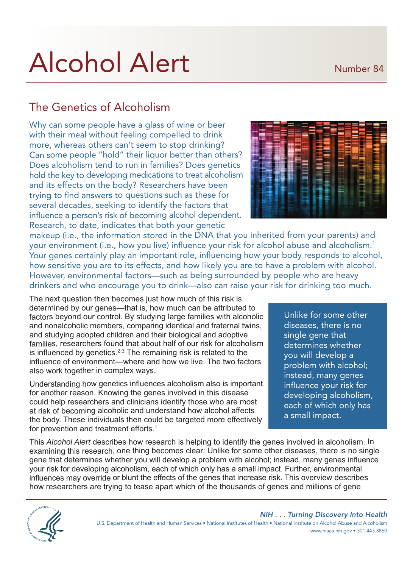# Alcohol Alert Number 84

## The Genetics of Alcoholism

Why can some people have a glass of wine or beer with their meal without feeling compelled to drink more, whereas others can't seem to stop drinking? Can some people "hold" their liquor better than others? Does alcoholism tend to run in families? Does genetics hold the key to developing medications to treat alcoholism and its effects on the body? Researchers have been trying to find answers to questions such as these for several decades, seeking to identify the factors that influence a person's risk of becoming alcohol dependent. Research, to date, indicates that both your genetic



makeup (i.e., the information stored in the DNA that you inherited from your parents) and your environment (i.e., how you live) influence your risk for alcohol abuse and alcoholism.<sup>1</sup> Your genes certainly play an important role, influencing how your body responds to alcohol, how sensitive you are to its effects, and how likely you are to have a problem with alcohol. However, environmental factors—such as being surrounded by people who are heavy drinkers and who encourage you to drink—also can raise your risk for drinking too much.

The next question then becomes just how much of this risk is determined by our genes—that is, how much can be attributed to factors beyond our control. By studying large families with alcoholic and nonalcoholic members, comparing identical and fraternal twins, and studying adopted children and their biological and adoptive families, researchers found that about half of our risk for alcoholism is influenced by genetics.<sup>2,3</sup> The remaining risk is related to the influence of environment—where and how we live. The two factors also work together in complex ways.

Understanding how genetics influences alcoholism also is important for another reason. Knowing the genes involved in this disease could help researchers and clinicians identify those who are most at risk of becoming alcoholic and understand how alcohol affects the body. These individuals then could be targeted more effectively for prevention and treatment efforts.<sup>1</sup>

This *Alcohol Alert* describes how research is helping to identify the genes involved in alcoholism. In examining this research, one thing becomes clear: Unlike for some other diseases, there is no single gene that determines whether you will develop a problem with alcohol; instead, many genes influence your risk for developing alcoholism, each of which only has a small impact. Further, environmental influences may override or blunt the effects of the genes that increase risk. This overview describes how researchers are trying to tease apart which of the thousands of genes and millions of gene



*NIH . . . Turning Discovery Into Health* U.S. Department of Health and Human Services • National Institutes of Health • National Institute on Alcohol Abuse and Alcoholism www.niaaa.nih.gov • 301.443.3860

Unlike for some other diseases, there is no single gene that determines whether you will develop a problem with alcohol; instead, many genes influence your risk for developing alcoholism, each of which only has a small impact.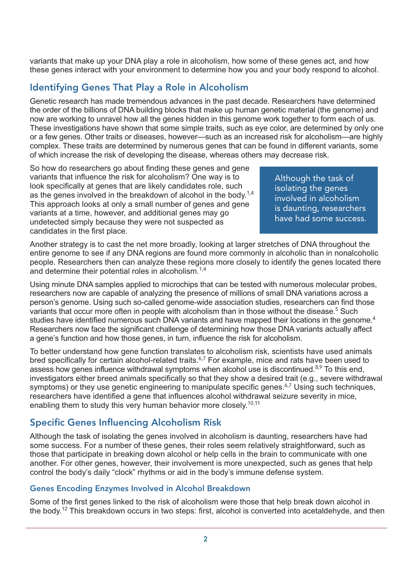variants that make up your DNA play a role in alcoholism, how some of these genes act, and how these genes interact with your environment to determine how you and your body respond to alcohol.

## **Identifying Genes That Play a Role in Alcoholism**

Genetic research has made tremendous advances in the past decade. Researchers have determined the order of the billions of DNA building blocks that make up human genetic material (the genome) and now are working to unravel how all the genes hidden in this genome work together to form each of us. These investigations have shown that some simple traits, such as eye color, are determined by only one or a few genes. Other traits or diseases, however—such as an increased risk for alcoholism—are highly complex. These traits are determined by numerous genes that can be found in different variants, some of which increase the risk of developing the disease, whereas others may decrease risk.

So how do researchers go about finding these genes and gene variants that influence the risk for alcoholism? One way is to look specifically at genes that are likely candidates role, such as the genes involved in the breakdown of alcohol in the body.<sup>1,4</sup> This approach looks at only a small number of genes and gene variants at a time, however, and additional genes may go undetected simply because they were not suspected as candidates in the first place.

Although the task of isolating the genes involved in alcoholism is daunting, researchers have had some success.

Another strategy is to cast the net more broadly, looking at larger stretches of DNA throughout the entire genome to see if any DNA regions are found more commonly in alcoholic than in nonalcoholic people. Researchers then can analyze these regions more closely to identify the genes located there and determine their potential roles in alcoholism.1,4

Using minute DNA samples applied to microchips that can be tested with numerous molecular probes, researchers now are capable of analyzing the presence of millions of small DNA variations across a person's genome. Using such so-called genome-wide association studies, researchers can find those variants that occur more often in people with alcoholism than in those without the disease.<sup>5</sup> Such studies have identified numerous such DNA variants and have mapped their locations in the genome.<sup>4</sup> Researchers now face the significant challenge of determining how those DNA variants actually affect a gene's function and how those genes, in turn, influence the risk for alcoholism.

To better understand how gene function translates to alcoholism risk, scientists have used animals bred specifically for certain alcohol-related traits.<sup>6,7</sup> For example, mice and rats have been used to assess how genes influence withdrawal symptoms when alcohol use is discontinued.<sup>8,9</sup> To this end, investigators either breed animals specifically so that they show a desired trait (e.g., severe withdrawal symptoms) or they use genetic engineering to manipulate specific genes.<sup>6,7</sup> Using such techniques, researchers have identified a gene that influences alcohol withdrawal seizure severity in mice, enabling them to study this very human behavior more closelv.<sup>10,11</sup>

## **Specific Genes Influencing Alcoholism Risk**

Although the task of isolating the genes involved in alcoholism is daunting, researchers have had some success. For a number of these genes, their roles seem relatively straightforward, such as those that participate in breaking down alcohol or help cells in the brain to communicate with one another. For other genes, however, their involvement is more unexpected, such as genes that help control the body's daily "clock" rhythms or aid in the body's immune defense system.

#### **Genes Encoding Enzymes Involved in Alcohol Breakdown**

Some of the first genes linked to the risk of alcoholism were those that help break down alcohol in the body.<sup>12</sup> This breakdown occurs in two steps: first, alcohol is converted into acetaldehyde, and then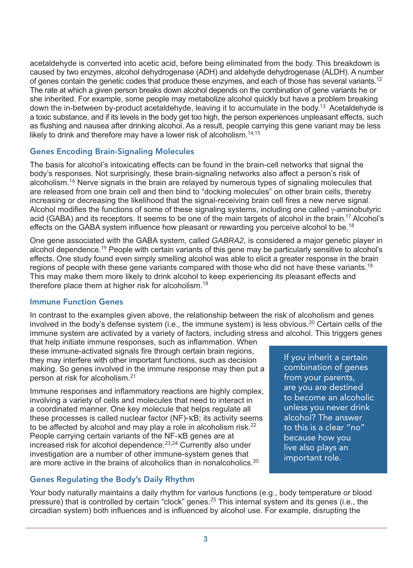acetaldehyde is converted into acetic acid, before being eliminated from the body. This breakdown is caused by two enzymes, alcohol dehydrogenase (ADH) and aldehyde dehydrogenase (ALDH). A number of genes contain the genetic codes that produce these enzymes, and each of those has several variants.<sup>12</sup> The rate at which a given person breaks down alcohol depends on the combination of gene variants he or she inherited. For example, some people may metabolize alcohol quickly but have a problem breaking down the in-between by-product acetaldehyde, leaving it to accumulate in the body.<sup>13</sup> Acetaldehyde is a toxic substance, and if its levels in the body get too high, the person experiences unpleasant effects, such as flushing and nausea after drinking alcohol. As a result, people carrying this gene variant may be less likely to drink and therefore may have a lower risk of alcoholism.<sup>14,15</sup>

#### **Genes Encoding Brain-Signaling Molecules**

The basis for alcohol's intoxicating effects can be found in the brain-cell networks that signal the body's responses. Not surprisingly, these brain-signaling networks also affect a person's risk of alcoholism.<sup>16</sup> Nerve signals in the brain are relayed by numerous types of signaling molecules that are released from one brain cell and then bind to "docking molecules" on other brain cells, thereby increasing or decreasing the likelihood that the signal-receiving brain cell fires a new nerve signal. Alcohol modifies the functions of some of these signaling systems, including one called γ-aminobutyric acid (GABA) and its receptors. It seems to be one of the main targets of alcohol in the brain.<sup>17</sup> Alcohol's effects on the GABA system influence how pleasant or rewarding you perceive alcohol to be.<sup>18</sup>

One gene associated with the GABA system, called *GABRA2*, is considered a major genetic player in alcohol dependence.<sup>19</sup> People with certain variants of this gene may be particularly sensitive to alcohol's effects. One study found even simply smelling alcohol was able to elicit a greater response in the brain regions of people with these gene variants compared with those who did not have these variants.<sup>18</sup> This may make them more likely to drink alcohol to keep experiencing its pleasant effects and therefore place them at higher risk for alcoholism.<sup>18</sup>

#### **Immune Function Genes**

In contrast to the examples given above, the relationship between the risk of alcoholism and genes involved in the body's defense system (i.e., the immune system) is less obvious.<sup>20</sup> Certain cells of the immune system are activated by a variety of factors, including stress and alcohol. This triggers genes

that help initiate immune responses, such as inflammation. When these immune-activated signals fire through certain brain regions, they may interfere with other important functions, such as decision making. So genes involved in the immune response may then put a person at risk for alcoholism.<sup>21</sup>

Immune responses and inflammatory reactions are highly complex, involving a variety of cells and molecules that need to interact in a coordinated manner. One key molecule that helps regulate all these processes is called nuclear factor (NF)-κB; its activity seems to be affected by alcohol and may play a role in alcoholism risk. $^{22}$ People carrying certain variants of the NF-κB genes are at increased risk for alcohol dependence.23,24 Currently also under investigation are a number of other immune-system genes that are more active in the brains of alcoholics than in nonalcoholics.<sup>20</sup>

#### **Genes Regulating the Body's Daily Rhythm**

If you inherit a certain combination of genes from your parents, are you are destined to become an alcoholic unless you never drink alcohol? The answer to this is a clear "no" because how you live also plays an important role.

Your body naturally maintains a daily rhythm for various functions (e.g., body temperature or blood pressure) that is controlled by certain "clock" genes.<sup>25</sup> This internal system and its genes (i.e., the circadian system) both influences and is influenced by alcohol use. For example, disrupting the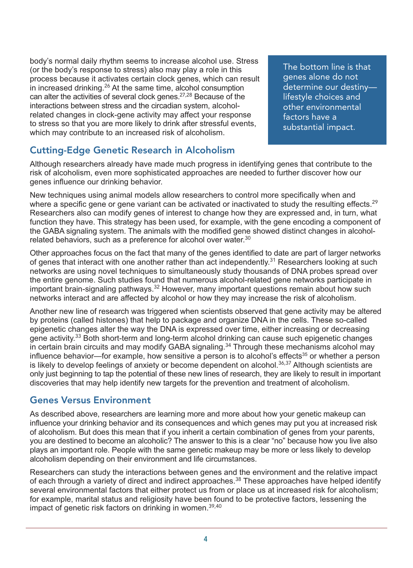body's normal daily rhythm seems to increase alcohol use. Stress (or the body's response to stress) also may play a role in this process because it activates certain clock genes, which can result in increased drinking. $26$  At the same time, alcohol consumption can alter the activities of several clock genes.<sup>27,28</sup> Because of the interactions between stress and the circadian system, alcoholrelated changes in clock-gene activity may affect your response to stress so that you are more likely to drink after stressful events, which may contribute to an increased risk of alcoholism.

The bottom line is that genes alone do not determine our destiny lifestyle choices and other environmental factors have a substantial impact.

## **Cutting-Edge Genetic Research in Alcoholism**

Although researchers already have made much progress in identifying genes that contribute to the risk of alcoholism, even more sophisticated approaches are needed to further discover how our genes influence our drinking behavior.

New techniques using animal models allow researchers to control more specifically when and where a specific gene or gene variant can be activated or inactivated to study the resulting effects.<sup>29</sup> Researchers also can modify genes of interest to change how they are expressed and, in turn, what function they have. This strategy has been used, for example, with the gene encoding a component of the GABA signaling system. The animals with the modified gene showed distinct changes in alcoholrelated behaviors, such as a preference for alcohol over water.<sup>30</sup>

Other approaches focus on the fact that many of the genes identified to date are part of larger networks of genes that interact with one another rather than act independently.<sup>31</sup> Researchers looking at such networks are using novel techniques to simultaneously study thousands of DNA probes spread over the entire genome. Such studies found that numerous alcohol-related gene networks participate in important brain-signaling pathways.<sup>32</sup> However, many important questions remain about how such networks interact and are affected by alcohol or how they may increase the risk of alcoholism.

Another new line of research was triggered when scientists observed that gene activity may be altered by proteins (called histones) that help to package and organize DNA in the cells. These so-called epigenetic changes alter the way the DNA is expressed over time, either increasing or decreasing gene activity.<sup>33</sup> Both short-term and long-term alcohol drinking can cause such epigenetic changes in certain brain circuits and may modify GABA signaling.<sup>34</sup> Through these mechanisms alcohol may influence behavior—for example, how sensitive a person is to alcohol's effects<sup>35</sup> or whether a person is likely to develop feelings of anxiety or become dependent on alcohol. $36,37$  Although scientists are only just beginning to tap the potential of these new lines of research, they are likely to result in important discoveries that may help identify new targets for the prevention and treatment of alcoholism.

### **Genes Versus Environment**

As described above, researchers are learning more and more about how your genetic makeup can influence your drinking behavior and its consequences and which genes may put you at increased risk of alcoholism. But does this mean that if you inherit a certain combination of genes from your parents, you are destined to become an alcoholic? The answer to this is a clear "no" because how you live also plays an important role. People with the same genetic makeup may be more or less likely to develop alcoholism depending on their environment and life circumstances.

Researchers can study the interactions between genes and the environment and the relative impact of each through a variety of direct and indirect approaches.<sup>38</sup> These approaches have helped identify several environmental factors that either protect us from or place us at increased risk for alcoholism; for example, marital status and religiosity have been found to be protective factors, lessening the impact of genetic risk factors on drinking in women.39,40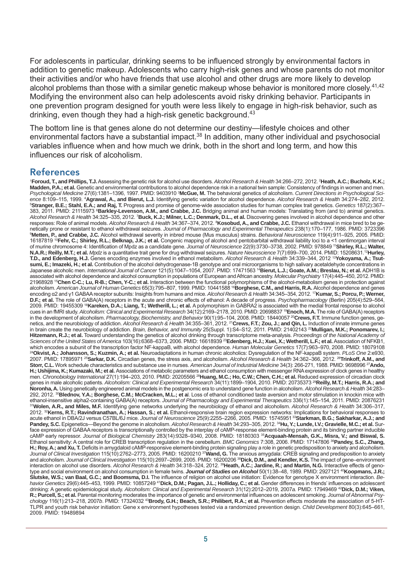For adolescents in particular, drinking seems to be influenced strongly by environmental factors in addition to genetic makeup. Adolescents who carry high-risk genes and whose parents do not monitor their activities and/or who have friends that use alcohol and other drugs are more likely to develop alcohol problems than those with a similar genetic makeup whose behavior is monitored more closely.<sup>41,42</sup> Modifying the environment also can help adolescents avoid risky drinking behavior. Participants in one prevention program designed for youth were less likely to engage in high-risk behavior, such as drinking, even though they had a high-risk genetic background.<sup>43</sup>

The bottom line is that genes alone do not determine our destiny—lifestyle choices and other environmental factors have a substantial impact.<sup>38</sup> In addition, many other individual and psychosocial variables influence when and how much we drink, both in the short and long term, and how this influences our risk of alcoholism.

#### **References**

<sup>1</sup>**Foroud, T., and Phillips, T.J.**Assessing the genetic risk for alcohol use disorders. *Alcohol Research & Health* 34:266–272, 2012. 2 **Heath, A.C.; Bucholz, K.K.; Madden, P.A.; et al.** Genetic and environmental contributions to alcohol dependence risk in a national twin sample: Consistency of findings in women and men. Psychological Medicine 27(6):1381–1396, 1997. PMID: 9403910 <sup>3</sup>McGue, M. The behavioral genetics of alcoholism. *Current Directions in Psychological Science* 8:109–115, 1999. 4 **Agrawal, A., and Bierut, L.J.** Identifying genetic variation for alcohol dependence. *Alcohol Research & Health* 34:274–282, 2012. 5 **Stranger, B.E.; Stahl, E.A.; and Raj, T.** Progress and promise of genome-wide association studies for human complex trait genetics. *Genetics* 187(2):367– 383, 2011. PMID: 21115973 <sup>6</sup>Barkley-Levenson, A.M., and Crabbe, J.C. Bridging animal and human models: Translating from (and to) animal genetics. *Alcohol Research & Health* 34:325–335, 2012. 7 **Buck, K.J.; Milner, L.C.; Denmark, D.L., et al.** Discovering genes involved in alcohol dependence and other responses: Role of animal models. *Alcohol Research & Health* 34:367–374, 2012. <sup>8</sup>**Kosobud, A., and Crabbe, J.C.** Ethanol withdrawal in mice bred to be genetically prone or resistant to ethanol withdrawal seizures. *Journal of Pharmacology and Experimental Therapeutics* 238(1):170–177, 1986. PMID: 3723396 9 **Metten, P., and Crabbe, J.C.** Alcohol withdrawal severity in inbred mouse (Mus musculus) strains. *Behavioral Neuroscience* 119(4):911–925, 2005. PMID: 16187819 10**Fehr, C.; Shirley, R.L.; Belknap, J.K.; et al.** Congenic mapping of alcohol and pentobarbital withdrawal liability loci to a <1 centimorgan interval of murine chromosome 4: Identification of Mpdz as a candidate gene. *Journal of Neuroscience* 22(9):3730–3738, 2002. PMID: 978849 11**Shirley, R.L.; Walter, N.A.R.; Reilly, M.T.; et al.** *Mpdz* is a quantitative trait gene for drug withdrawal seizures. *Nature Neuroscience* 7(7):699–700, 2014. PMID: 15208631.12**Hurley, T.D., and Edenberg, H.J.** Genes encoding enzymes involved in ethanol metabolism. *Alcohol Research & Health* 34:339–344, 2012 13**Yokoyama, A.; Tsutsumi, E.; Imazeki, H.; et al.** Contribution of the alcohol dehydrogenase-1B genotype and oral microorganisms to high salivary acetaldehyde concentrations in Japanese alcoholic men. *International Journal of Cancer* 121(5):1047–1054, 2007. PMID: 17471563 14**Bierut, L.J.; Goate, A.M.; Breslau, N.; et al.** ADH1B is associated with alcohol dependence and alcohol consumption in populations of European and African ancestry. *Molecular Psychiatry* 17(4):445–450, 2012. PMID: 21968928 15**Chen C-C.; Lu, R-B.; Chen, Y-C.; et al.** Interaction between the functional polymorphisms of the alcohol-metabolism genes in protection against alcoholism. *American Journal of Human Genetics* 65(3):795–807, 1999. PMID: 10441588 16**Borghese, C.M., and Harris, R.A.** Alcohol dependence and genes encoding α2 and γ1 GABAA receptor subunits: Insights from humans and mice. *Alcohol Research & Health* 34:345–354, 2012. 17**Kumar, S.; Porcu, P.; Werner, D.F.; et al.** The role of GABA(A) receptors in the acute and chronic effects of ethanol: A decade of progress. *Psychopharmacology* (Berlin) 205(4):529–564, 2009. PMID: 19455309 18**Kareken, D.A.; Liang, T.; Wetherill, L.; et al.** A polymorphism in GABRA2 is associated with the medial frontal response to alcohol cues in an fMRI study. *Alcoholism: Clinical and Experimental Research* 34(12):2169–2178, 2010. PMID: 20698837 19**Enoch, M.A.** The role of GABA(A) receptors in the development of alcoholism. *Pharmacology, Biochemistry, and Behavior* 90(1):95–104, 2008. PMID: 18440057 20**Crews, F.T.** Immune function genes, genetics, and the neurobiology of addiction. *Alcohol Research & Health* 34:355–361, 2012. 21**Crews, F.T.; Zou, J.; and Qin, L.** Induction of innate immune genes in brain create the neurobiology of addiction. *Brain, Behavior, and Immunity* 25(Suppl. 1):S4–S12, 2011. PMID: 21402143 22**Mulligan, M.K.; Ponomarev, I.; Hitzemann, R.J.; et al.** Toward understanding the genetics of alcohol drinking through transcriptome meta-analysis. *Proceedings of the National Academy of Sciences of the United States of America* 103(16):6368–6373, 2006. PMID: 16618939 23**Edenberg, H.J.; Xuei, X.; Wetherill, L.F.; et al.** Association of NFKB1, which encodes a subunit of the transcription factor NF-kappaB, with alcohol dependence. *Human Molecular Genetics* 17(7):963–970, 2008. PMID: 18079108 <sup>24</sup>**Okvist, A.; Johansson, S.; Kuzmin, A.; et al.** Neuroadaptations in human chronic alcoholics: Dysregulation of the NF-kappaB system. *PLoS One* 2:e930, 2007. PMID: 17895971 25**Sarkar, D.K.** Circadian genes, the stress axis, and alcoholism. *Alcohol Research & Health* 34:362–366, 2012. 26**Trinkoff, A.M., and Storr, C.L.** Work schedule characteristics and substance use in nurses. *American Journal of Industrial Medicine* 34(3): 266-271, 1988. PMID: 9698996 27**Ando, H.; Ushijima, K.; Kumazaki, M.; et al.** Associations of metabolic parameters and ethanol consumption with messenger RNA expression of clock genes in healthy men. *Chronobiology International* 27(1):194–203, 2010. PMID: 20205566 28**Huang, M.C.; Ho, C.W.; Chen, C.H.; et al.** Reduced expression of circadian clock genes in male alcoholic patients. *Alcoholism: Clinical and Experimental Research* 34(11):1899–1904, 2010. PMID: 20735373 29**Reilly, M.T.; Harris, R.A.; and Noronha, A.** Using genetically engineered animal models in the postgenomic era to understand gene function in alcoholism. *Alcohol Research & Health* 34:283– 292, 2012. 30**Blednov, Y.A.; Borghese, C.M.; McCracken, M.L.; et a**l. Loss of ethanol conditioned taste aversion and motor stimulation in knockin mice with ethanol-insensitive alpha2-containing GABA(A) receptors. *Journal of Pharmacology and Experimental Therapeutics* 336(1):145–154, 2011. PMID: 20876231 <sup>31</sup>**Wolen, A.R., and Miles, M.F.** Identifying gene networks underlying the neurobiology of ethanol and alcoholism. *Alcohol Research & Health* 34:306–317, 2012. 32**Kerns, R.T.; Ravindranathan, A.; Hassan, S.; et al.** Ethanol-responsive brain region expression networks: Implications for behavioral responses to acute ethanol in DBA/2J versus C57BL/6J mice. *Journal of Neuroscience* 25(9):2255–2266, 2005. PMID: 1574595133**Starkman, B.G.; Sakharkar, A.J.; and Pandey, S.C.** Epigenetics—Beyond the genome in alcoholism. *Alcohol Research & Health* 34:293–305, 2012. 34**Hu, Y.; Lunde, I.V.; Gravielle, M.C.; et al.** Surface expression of GABAA receptors is transcriptionally controlled by the interplay of cAMP-response element-binding protein and its binding partner inducible cAMP early repressor. *Journal of Biological Chemistry* 283(14):9328–9340, 2008. PMID: 18180303 35**Acquaah-Mensah, G.K., Misra, V.; and Biswal, S.** Ethanol sensitivity: A central role for CREB transcription regulation in the cerebellum. *BMC Genomics* 7:308, 2006. PMID: 17147806 36**Pandey, S.C., Zhang, H.; Roy, A.; and Xu, T.** Deficits in amygdaloid cAMP-responsive element-binding protein signaling play a role in genetic predisposition to anxiety and alcoholism. *Journal of Clinical Investigation* 115(10):2762–2773, 2005. PMID: 16200210 37**Wand, G.** The anxious amygdala: CREB signaling and predisposition to anxiety and alcoholism. *Journal of Clinical Investigation* 115(10):2697–2699, 2005. PMID: 16200206 38**Dick, D.M., and Kendler, K.S.** The impact of gene–environment interaction on alcohol use disorders. *Alcohol Research & Health* 34:318–324, 2012. 39**Heath, A.C.; Jardine, R.; and Martin, N.G.** Interactive effects of genotype and social environment on alcohol consumption in female twins. *Journal of Studies on Alcohol* 50(1):38–48, 1989. PMID: 2927121 40**Koopmans, J.R.;** Slutske, W.S.; van Baal, G.C.; and Boomsma, D.I. The influence of religion on alcohol use initiation: Evidence for genotype X environment interaction. Be*havior Genetics* 29(6):445–453, 1999. PMID: 10857249 41**Dick, D.M.; Pagan, J.L.; Holliday, C.; et al.** Gender differences in friends' influences on adolescent drinking: A genetic epidemiological study. *Alcoholism: Clinical and Experimental Research* 31(12):2012–2019, 2007*a.* PMID: 17949469 42**Dick, D.M.; Viken, R.; Purcell, S.; et al.** Parental monitoring moderates the importance of genetic and environmental influences on adolescent smoking. *Journal of Abnormal Psychology* 116(1):213–218, 2007*b*. PMID: 17324032 43**Brody, G.H.; Beach, S.R.; Philibert, R.A.; et al.** Prevention effects moderate the association of 5-HT-TLPR and youth risk behavior initiation: Gene x environment hypotheses tested via a randomized prevention design. *Child Development* 80(3):645–661, 2009. PMID: 19489894